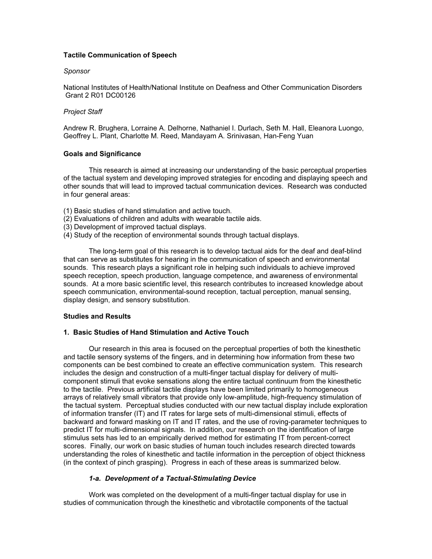## Tactile Communication of Speech

### Sponsor

National Institutes of Health/National Institute on Deafness and Other Communication Disorders Grant 2 R01 DC00126

## Project Staff

Andrew R. Brughera, Lorraine A. Delhorne, Nathaniel I. Durlach, Seth M. Hall, Eleanora Luongo, Geoffrey L. Plant, Charlotte M. Reed, Mandayam A. Srinivasan, Han-Feng Yuan

## Goals and Significance

This research is aimed at increasing our understanding of the basic perceptual properties of the tactual system and developing improved strategies for encoding and displaying speech and other sounds that will lead to improved tactual communication devices. Research was conducted in four general areas:

- (1) Basic studies of hand stimulation and active touch.
- (2) Evaluations of children and adults with wearable tactile aids.
- (3) Development of improved tactual displays.
- (4) Study of the reception of environmental sounds through tactual displays.

The long-term goal of this research is to develop tactual aids for the deaf and deaf-blind that can serve as substitutes for hearing in the communication of speech and environmental sounds. This research plays a significant role in helping such individuals to achieve improved speech reception, speech production, language competence, and awareness of environmental sounds. At a more basic scientific level, this research contributes to increased knowledge about speech communication, environmental-sound reception, tactual perception, manual sensing, display design, and sensory substitution.

## Studies and Results

## 1. Basic Studies of Hand Stimulation and Active Touch

Our research in this area is focused on the perceptual properties of both the kinesthetic and tactile sensory systems of the fingers, and in determining how information from these two components can be best combined to create an effective communication system. This research includes the design and construction of a multi-finger tactual display for delivery of multicomponent stimuli that evoke sensations along the entire tactual continuum from the kinesthetic to the tactile. Previous artificial tactile displays have been limited primarily to homogeneous arrays of relatively small vibrators that provide only low-amplitude, high-frequency stimulation of the tactual system. Perceptual studies conducted with our new tactual display include exploration of information transfer (IT) and IT rates for large sets of multi-dimensional stimuli, effects of backward and forward masking on IT and IT rates, and the use of roving-parameter techniques to predict IT for multi-dimensional signals. In addition, our research on the identification of large stimulus sets has led to an empirically derived method for estimating IT from percent-correct scores. Finally, our work on basic studies of human touch includes research directed towards understanding the roles of kinesthetic and tactile information in the perception of object thickness (in the context of pinch grasping). Progress in each of these areas is summarized below.

## 1-a. Development of a Tactual-Stimulating Device

 Work was completed on the development of a multi-finger tactual display for use in studies of communication through the kinesthetic and vibrotactile components of the tactual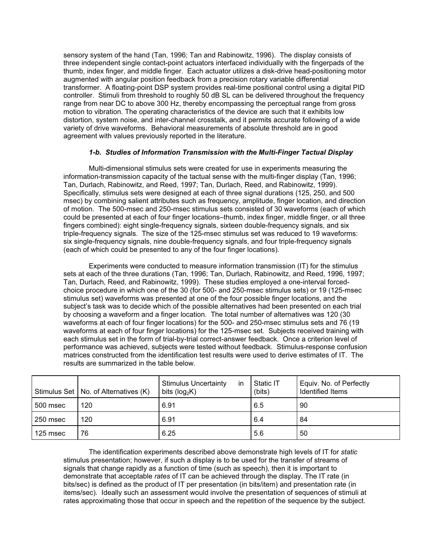sensory system of the hand (Tan, 1996; Tan and Rabinowitz, 1996). The display consists of three independent single contact-point actuators interfaced individually with the fingerpads of the thumb, index finger, and middle finger. Each actuator utilizes a disk-drive head-positioning motor augmented with angular position feedback from a precision rotary variable differential transformer. A floating-point DSP system provides real-time positional control using a digital PID controller. Stimuli from threshold to roughly 50 dB SL can be delivered throughout the frequency range from near DC to above 300 Hz, thereby encompassing the perceptual range from gross motion to vibration. The operating characteristics of the device are such that it exhibits low distortion, system noise, and inter-channel crosstalk, and it permits accurate following of a wide variety of drive waveforms. Behavioral measurements of absolute threshold are in good agreement with values previously reported in the literature.

# 1-b. Studies of Information Transmission with the Multi-Finger Tactual Display

 Multi-dimensional stimulus sets were created for use in experiments measuring the information-transmission capacity of the tactual sense with the multi-finger display (Tan, 1996; Tan, Durlach, Rabinowitz, and Reed, 1997; Tan, Durlach, Reed, and Rabinowitz, 1999). Specifically, stimulus sets were designed at each of three signal durations (125, 250, and 500 msec) by combining salient attributes such as frequency, amplitude, finger location, and direction of motion. The 500-msec and 250-msec stimulus sets consisted of 30 waveforms (each of which could be presented at each of four finger locations–thumb, index finger, middle finger, or all three fingers combined): eight single-frequency signals, sixteen double-frequency signals, and six triple-frequency signals. The size of the 125-msec stimulus set was reduced to 19 waveforms: six single-frequency signals, nine double-frequency signals, and four triple-frequency signals (each of which could be presented to any of the four finger locations).

 Experiments were conducted to measure information transmission (IT) for the stimulus sets at each of the three durations (Tan, 1996; Tan, Durlach, Rabinowitz, and Reed, 1996, 1997; Tan, Durlach, Reed, and Rabinowitz, 1999). These studies employed a one-interval forcedchoice procedure in which one of the 30 (for 500- and 250-msec stimulus sets) or 19 (125-msec stimulus set) waveforms was presented at one of the four possible finger locations, and the subject's task was to decide which of the possible alternatives had been presented on each trial by choosing a waveform and a finger location. The total number of alternatives was 120 (30 waveforms at each of four finger locations) for the 500- and 250-msec stimulus sets and 76 (19 waveforms at each of four finger locations) for the 125-msec set. Subjects received training with each stimulus set in the form of trial-by-trial correct-answer feedback. Once a criterion level of performance was achieved, subjects were tested without feedback. Stimulus-response confusion matrices constructed from the identification test results were used to derive estimates of IT. The results are summarized in the table below.

|          | Stimulus Set   No. of Alternatives (K) | <b>Stimulus Uncertainty</b><br>in<br>bits ( $log_2 K$ ) | Static IT<br>(bits) | Equiv. No. of Perfectly<br>Identified Items |
|----------|----------------------------------------|---------------------------------------------------------|---------------------|---------------------------------------------|
| 500 msec | 120                                    | 6.91                                                    | 6.5                 | 90                                          |
| 250 msec | 120                                    | 6.91                                                    | 6.4                 | 84                                          |
| 125 msec | 76                                     | 6.25                                                    | 5.6                 | 50                                          |

 The identification experiments described above demonstrate high levels of IT for static stimulus presentation; however, if such a display is to be used for the transfer of streams of signals that change rapidly as a function of time (such as speech), then it is important to demonstrate that acceptable rates of IT can be achieved through the display. The IT rate (in bits/sec) is defined as the product of IT per presentation (in bits/item) and presentation rate (in items/sec). Ideally such an assessment would involve the presentation of sequences of stimuli at rates approximating those that occur in speech and the repetition of the sequence by the subject.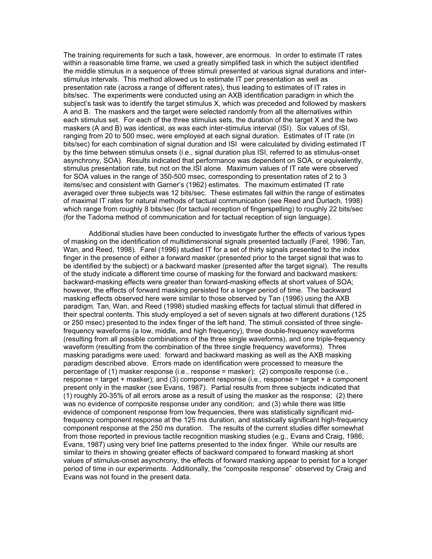The training requirements for such a task, however, are enormous. In order to estimate IT rates within a reasonable time frame, we used a greatly simplified task in which the subject identified the middle stimulus in a sequence of three stimuli presented at various signal durations and interstimulus intervals. This method allowed us to estimate IT per presentation as well as presentation rate (across a range of different rates), thus leading to estimates of IT rates in bits/sec. The experiments were conducted using an AXB identification paradigm in which the subject's task was to identify the target stimulus X, which was preceded and followed by maskers A and B. The maskers and the target were selected randomly from all the alternatives within each stimulus set. For each of the three stimulus sets, the duration of the target X and the two maskers (A and B) was identical, as was each inter-stimulus interval (ISI). Six values of ISI, ranging from 20 to 500 msec, were employed at each signal duration. Estimates of IT rate (in bits/sec) for each combination of signal duration and ISI were calculated by dividing estimated IT by the time between stimulus onsets (i.e., signal duration plus ISI, referred to as stimulus-onset asynchrony, SOA). Results indicated that performance was dependent on SOA, or equivalently, stimulus presentation rate, but not on the ISI alone. Maximum values of IT rate were observed for SOA values in the range of 350-500 msec, corresponding to presentation rates of 2 to 3 items/sec and consistent with Garner's (1962) estimates. The maximum estimated IT rate averaged over three subjects was 12 bits/sec. These estimates fall within the range of estimates of maximal IT rates for natural methods of tactual communication (see Reed and Durlach, 1998) which range from roughly 8 bits/sec (for tactual reception of fingerspelling) to roughly 22 bits/sec (for the Tadoma method of communication and for tactual reception of sign language).

 Additional studies have been conducted to investigate further the effects of various types of masking on the identification of multidimensional signals presented tactually (Farel, 1996; Tan, Wan, and Reed, 1998). Farel (1996) studied IT for a set of thirty signals presented to the index finger in the presence of either a forward masker (presented prior to the target signal that was to be identified by the subject) or a backward masker (presented after the target signal). The results of the study indicate a different time course of masking for the forward and backward maskers: backward-masking effects were greater than forward-masking effects at short values of SOA; however, the effects of forward masking persisted for a longer period of time. The backward masking effects observed here were similar to those observed by Tan (1996) using the AXB paradigm. Tan, Wan, and Reed (1998) studied masking effects for tactual stimuli that differed in their spectral contents. This study employed a set of seven signals at two different durations (125 or 250 msec) presented to the index finger of the left hand. The stimuli consisted of three singlefrequency waveforms (a low, middle, and high frequency), three double-frequency waveforms (resulting from all possible combinations of the three single waveforms), and one triple-frequency waveform (resulting from the combination of the three single frequency waveforms). Three masking paradigms were used: forward and backward masking as well as the AXB masking paradigm described above. Errors made on identification were processed to measure the percentage of (1) masker response (i.e., response = masker); (2) composite response (i.e., response = target + masker); and (3) component response (i.e., response = target + a component present only in the masker (see Evans, 1987). Partial results from three subjects indicated that (1) roughly 20-35% of all errors arose as a result of using the masker as the response; (2) there was no evidence of composite response under any condition; and (3) while there was little evidence of component response from low frequencies, there was statistically significant midfrequency component response at the 125 ms duration, and statistically significant high-frequency component response at the 250 ms duration. The results of the current studies differ somewhat from those reported in previous tactile recognition masking studies (e.g., Evans and Craig, 1986; Evans, 1987) using very brief line patterns presented to the index finger. While our results are similar to theirs in showing greater effects of backward compared to forward masking at short values of stimulus-onset asynchrony, the effects of forward masking appear to persist for a longer period of time in our experiments. Additionally, the "composite response" observed by Craig and Evans was not found in the present data.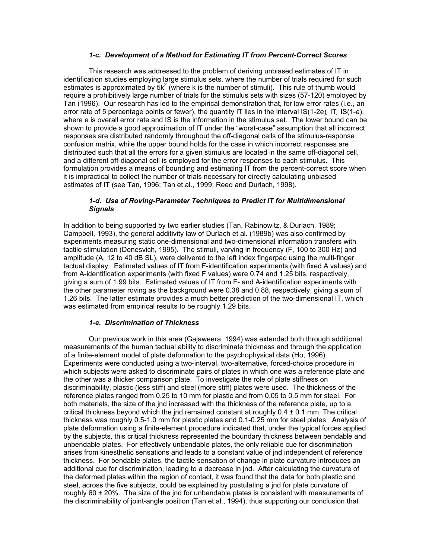### 1-c. Development of a Method for Estimating IT from Percent-Correct Scores

 This research was addressed to the problem of deriving unbiased estimates of IT in identification studies employing large stimulus sets, where the number of trials required for such estimates is approximated by  $5k^2$  (where k is the number of stimuli). This rule of thumb would require a prohibitively large number of trials for the stimulus sets with sizes (57-120) employed by Tan (1996). Our research has led to the empirical demonstration that, for low error rates (i.e., an error rate of 5 percentage points or fewer), the quantity IT lies in the interval IS(1-2e) IT IS(1-e), where e is overall error rate and IS is the information in the stimulus set. The lower bound can be shown to provide a good approximation of IT under the "worst-case" assumption that all incorrect responses are distributed randomly throughout the off-diagonal cells of the stimulus-response confusion matrix, while the upper bound holds for the case in which incorrect responses are distributed such that all the errors for a given stimulus are located in the same off-diagonal cell, and a different off-diagonal cell is employed for the error responses to each stimulus. This formulation provides a means of bounding and estimating IT from the percent-correct score when it is impractical to collect the number of trials necessary for directly calculating unbiased estimates of IT (see Tan, 1996; Tan et al., 1999; Reed and Durlach, 1998).

## 1-d. Use of Roving-Parameter Techniques to Predict IT for Multidimensional **Signals**

In addition to being supported by two earlier studies (Tan, Rabinowitz, & Durlach, 1989; Campbell, 1993), the general additivity law of Durlach et al. (1989b) was also confirmed by experiments measuring static one-dimensional and two-dimensional information transfers with tactile stimulation (Denesvich, 1995). The stimuli, varying in frequency (F, 100 to 300 Hz) and amplitude (A, 12 to 40 dB SL), were delivered to the left index fingerpad using the multi-finger tactual display. Estimated values of IT from F-identification experiments (with fixed A values) and from A-identification experiments (with fixed F values) were 0.74 and 1.25 bits, respectively, giving a sum of 1.99 bits. Estimated values of IT from F- and A-identification experiments with the other parameter roving as the background were 0.38 and 0.88, respectively, giving a sum of 1.26 bits. The latter estimate provides a much better prediction of the two-dimensional IT, which was estimated from empirical results to be roughly 1.29 bits.

#### 1-e. Discrimination of Thickness

 Our previous work in this area (Gajaweera, 1994) was extended both through additional measurements of the human tactual ability to discriminate thickness and through the application of a finite-element model of plate deformation to the psychophysical data (Ho, 1996). Experiments were conducted using a two-interval, two-alternative, forced-choice procedure in which subjects were asked to discriminate pairs of plates in which one was a reference plate and the other was a thicker comparison plate. To investigate the role of plate stiffness on discriminability, plastic (less stiff) and steel (more stiff) plates were used. The thickness of the reference plates ranged from 0.25 to 10 mm for plastic and from 0.05 to 0.5 mm for steel. For both materials, the size of the jnd increased with the thickness of the reference plate, up to a critical thickness beyond which the jnd remained constant at roughly  $0.4 \pm 0.1$  mm. The critical thickness was roughly 0.5-1.0 mm for plastic plates and 0.1-0.25 mm for steel plates. Analysis of plate deformation using a finite-element procedure indicated that, under the typical forces applied by the subjects, this critical thickness represented the boundary thickness between bendable and unbendable plates. For effectively unbendable plates, the only reliable cue for discrimination arises from kinesthetic sensations and leads to a constant value of jnd independent of reference thickness. For bendable plates, the tactile sensation of change in plate curvature introduces an additional cue for discrimination, leading to a decrease in jnd. After calculating the curvature of the deformed plates within the region of contact, it was found that the data for both plastic and steel, across the five subjects, could be explained by postulating a jnd for plate curvature of roughly 60 ± 20%. The size of the jnd for unbendable plates is consistent with measurements of the discriminability of joint-angle position (Tan et al., 1994), thus supporting our conclusion that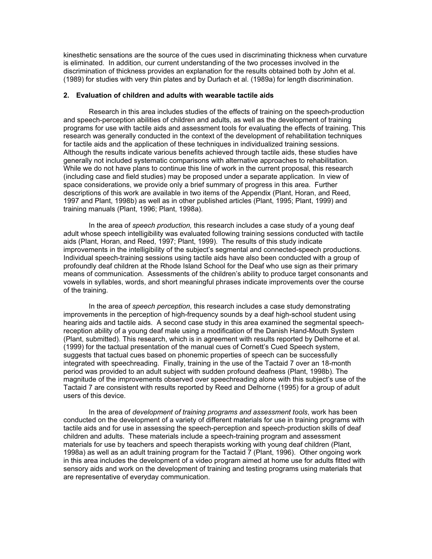kinesthetic sensations are the source of the cues used in discriminating thickness when curvature is eliminated. In addition, our current understanding of the two processes involved in the discrimination of thickness provides an explanation for the results obtained both by John et al. (1989) for studies with very thin plates and by Durlach et al. (1989a) for length discrimination.

#### 2. Evaluation of children and adults with wearable tactile aids

Research in this area includes studies of the effects of training on the speech-production and speech-perception abilities of children and adults, as well as the development of training programs for use with tactile aids and assessment tools for evaluating the effects of training. This research was generally conducted in the context of the development of rehabilitation techniques for tactile aids and the application of these techniques in individualized training sessions. Although the results indicate various benefits achieved through tactile aids, these studies have generally not included systematic comparisons with alternative approaches to rehabilitation. While we do not have plans to continue this line of work in the current proposal, this research (including case and field studies) may be proposed under a separate application. In view of space considerations, we provide only a brief summary of progress in this area. Further descriptions of this work are available in two items of the Appendix (Plant, Horan, and Reed, 1997 and Plant, 1998b) as well as in other published articles (Plant, 1995; Plant, 1999) and training manuals (Plant, 1996; Plant, 1998a).

In the area of speech production, this research includes a case study of a young deaf adult whose speech intelligibility was evaluated following training sessions conducted with tactile aids (Plant, Horan, and Reed, 1997; Plant, 1999). The results of this study indicate improvements in the intelligibility of the subject's segmental and connected-speech productions. Individual speech-training sessions using tactile aids have also been conducted with a group of profoundly deaf children at the Rhode Island School for the Deaf who use sign as their primary means of communication. Assessments of the children's ability to produce target consonants and vowels in syllables, words, and short meaningful phrases indicate improvements over the course of the training.

In the area of speech perception, this research includes a case study demonstrating improvements in the perception of high-frequency sounds by a deaf high-school student using hearing aids and tactile aids. A second case study in this area examined the segmental speechreception ability of a young deaf male using a modification of the Danish Hand-Mouth System (Plant, submitted). This research, which is in agreement with results reported by Delhorne et al. (1999) for the tactual presentation of the manual cues of Cornett's Cued Speech system, suggests that tactual cues based on phonemic properties of speech can be successfully integrated with speechreading. Finally, training in the use of the Tactaid 7 over an 18-month period was provided to an adult subject with sudden profound deafness (Plant, 1998b). The magnitude of the improvements observed over speechreading alone with this subject's use of the Tactaid 7 are consistent with results reported by Reed and Delhorne (1995) for a group of adult users of this device.

 In the area of development of training programs and assessment tools, work has been conducted on the development of a variety of different materials for use in training programs with tactile aids and for use in assessing the speech-perception and speech-production skills of deaf children and adults. These materials include a speech-training program and assessment materials for use by teachers and speech therapists working with young deaf children (Plant, 1998a) as well as an adult training program for the Tactaid 7 (Plant, 1996). Other ongoing work in this area includes the development of a video program aimed at home use for adults fitted with sensory aids and work on the development of training and testing programs using materials that are representative of everyday communication.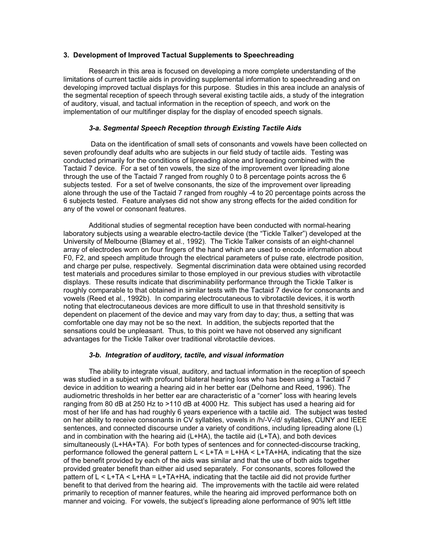#### 3. Development of Improved Tactual Supplements to Speechreading

 Research in this area is focused on developing a more complete understanding of the limitations of current tactile aids in providing supplemental information to speechreading and on developing improved tactual displays for this purpose. Studies in this area include an analysis of the segmental reception of speech through several existing tactile aids, a study of the integration of auditory, visual, and tactual information in the reception of speech, and work on the implementation of our multifinger display for the display of encoded speech signals.

# 3-a. Segmental Speech Reception through Existing Tactile Aids

 Data on the identification of small sets of consonants and vowels have been collected on seven profoundly deaf adults who are subjects in our field study of tactile aids. Testing was conducted primarily for the conditions of lipreading alone and lipreading combined with the Tactaid 7 device. For a set of ten vowels, the size of the improvement over lipreading alone through the use of the Tactaid 7 ranged from roughly 0 to 8 percentage points across the 6 subjects tested. For a set of twelve consonants, the size of the improvement over lipreading alone through the use of the Tactaid 7 ranged from roughly -4 to 20 percentage points across the 6 subjects tested. Feature analyses did not show any strong effects for the aided condition for any of the vowel or consonant features.

Additional studies of segmental reception have been conducted with normal-hearing laboratory subjects using a wearable electro-tactile device (the "Tickle Talker") developed at the University of Melbourne (Blamey et al., 1992). The Tickle Talker consists of an eight-channel array of electrodes worn on four fingers of the hand which are used to encode information about F0, F2, and speech amplitude through the electrical parameters of pulse rate, electrode position, and charge per pulse, respectively. Segmental discrimination data were obtained using recorded test materials and procedures similar to those employed in our previous studies with vibrotactile displays. These results indicate that discriminability performance through the Tickle Talker is roughly comparable to that obtained in similar tests with the Tactaid 7 device for consonants and vowels (Reed et al., 1992b). In comparing electrocutaneous to vibrotactile devices, it is worth noting that electrocutaneous devices are more difficult to use in that threshold sensitivity is dependent on placement of the device and may vary from day to day; thus, a setting that was comfortable one day may not be so the next. In addition, the subjects reported that the sensations could be unpleasant. Thus, to this point we have not observed any significant advantages for the Tickle Talker over traditional vibrotactile devices.

#### 3-b. Integration of auditory, tactile, and visual information

 The ability to integrate visual, auditory, and tactual information in the reception of speech was studied in a subject with profound bilateral hearing loss who has been using a Tactaid 7 device in addition to wearing a hearing aid in her better ear (Delhorne and Reed, 1996). The audiometric thresholds in her better ear are characteristic of a "corner" loss with hearing levels ranging from 80 dB at 250 Hz to >110 dB at 4000 Hz. This subject has used a hearing aid for most of her life and has had roughly 6 years experience with a tactile aid. The subject was tested on her ability to receive consonants in CV syllables, vowels in /h/-V-/d/ syllables, CUNY and IEEE sentences, and connected discourse under a variety of conditions, including lipreading alone (L) and in combination with the hearing aid (L+HA), the tactile aid (L+TA), and both devices simultaneously (L+HA+TA). For both types of sentences and for connected-discourse tracking, performance followed the general pattern  $L < L+TA = L+HA < L+TA+HA$ , indicating that the size of the benefit provided by each of the aids was similar and that the use of both aids together provided greater benefit than either aid used separately. For consonants, scores followed the pattern of L < L+TA < L+HA = L+TA+HA, indicating that the tactile aid did not provide further benefit to that derived from the hearing aid. The improvements with the tactile aid were related primarily to reception of manner features, while the hearing aid improved performance both on manner and voicing. For vowels, the subject's lipreading alone performance of 90% left little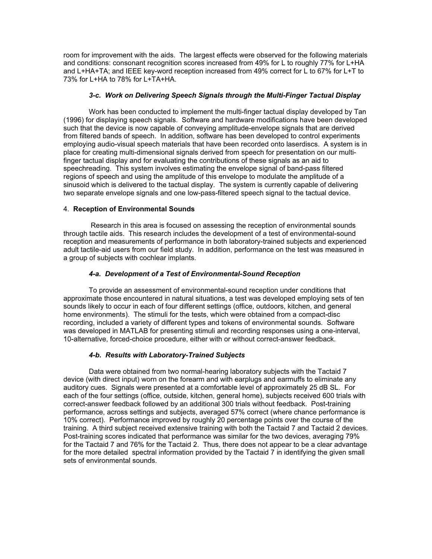room for improvement with the aids. The largest effects were observed for the following materials and conditions: consonant recognition scores increased from 49% for L to roughly 77% for L+HA and L+HA+TA; and IEEE key-word reception increased from 49% correct for L to 67% for L+T to 73% for L+HA to 78% for L+TA+HA.

## 3-c. Work on Delivering Speech Signals through the Multi-Finger Tactual Display

 Work has been conducted to implement the multi-finger tactual display developed by Tan (1996) for displaying speech signals. Software and hardware modifications have been developed such that the device is now capable of conveying amplitude-envelope signals that are derived from filtered bands of speech. In addition, software has been developed to control experiments employing audio-visual speech materials that have been recorded onto laserdiscs. A system is in place for creating multi-dimensional signals derived from speech for presentation on our multifinger tactual display and for evaluating the contributions of these signals as an aid to speechreading. This system involves estimating the envelope signal of band-pass filtered regions of speech and using the amplitude of this envelope to modulate the amplitude of a sinusoid which is delivered to the tactual display. The system is currently capable of delivering two separate envelope signals and one low-pass-filtered speech signal to the tactual device.

## 4. Reception of Environmental Sounds

 Research in this area is focused on assessing the reception of environmental sounds through tactile aids. This research includes the development of a test of environmental-sound reception and measurements of performance in both laboratory-trained subjects and experienced adult tactile-aid users from our field study. In addition, performance on the test was measured in a group of subjects with cochlear implants.

# 4-a. Development of a Test of Environmental-Sound Reception

 To provide an assessment of environmental-sound reception under conditions that approximate those encountered in natural situations, a test was developed employing sets of ten sounds likely to occur in each of four different settings (office, outdoors, kitchen, and general home environments). The stimuli for the tests, which were obtained from a compact-disc recording, included a variety of different types and tokens of environmental sounds. Software was developed in MATLAB for presenting stimuli and recording responses using a one-interval, 10-alternative, forced-choice procedure, either with or without correct-answer feedback.

# 4-b. Results with Laboratory-Trained Subjects

 Data were obtained from two normal-hearing laboratory subjects with the Tactaid 7 device (with direct input) worn on the forearm and with earplugs and earmuffs to eliminate any auditory cues. Signals were presented at a comfortable level of approximately 25 dB SL. For each of the four settings (office, outside, kitchen, general home), subjects received 600 trials with correct-answer feedback followed by an additional 300 trials without feedback. Post-training performance, across settings and subjects, averaged 57% correct (where chance performance is 10% correct). Performance improved by roughly 20 percentage points over the course of the training. A third subject received extensive training with both the Tactaid 7 and Tactaid 2 devices. Post-training scores indicated that performance was similar for the two devices, averaging 79% for the Tactaid 7 and 76% for the Tactaid 2. Thus, there does not appear to be a clear advantage for the more detailed spectral information provided by the Tactaid 7 in identifying the given small sets of environmental sounds.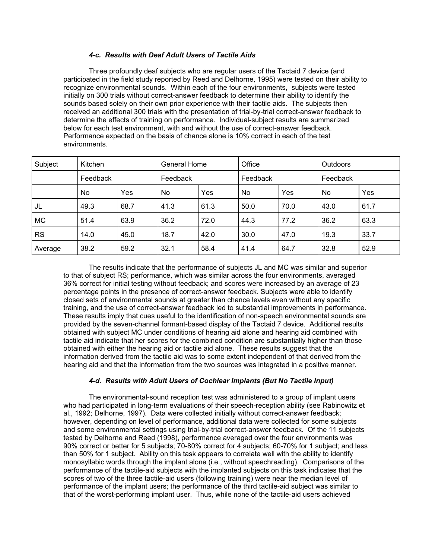# 4-c. Results with Deaf Adult Users of Tactile Aids

 Three profoundly deaf subjects who are regular users of the Tactaid 7 device (and participated in the field study reported by Reed and Delhorne, 1995) were tested on their ability to recognize environmental sounds. Within each of the four environments, subjects were tested initially on 300 trials without correct-answer feedback to determine their ability to identify the sounds based solely on their own prior experience with their tactile aids. The subjects then received an additional 300 trials with the presentation of trial-by-trial correct-answer feedback to determine the effects of training on performance. Individual-subject results are summarized below for each test environment, with and without the use of correct-answer feedback. Performance expected on the basis of chance alone is 10% correct in each of the test environments.

| Subject   | Kitchen  |      | General Home |      | Office   |      | <b>Outdoors</b> |      |
|-----------|----------|------|--------------|------|----------|------|-----------------|------|
|           | Feedback |      | Feedback     |      | Feedback |      | Feedback        |      |
|           | No       | Yes  | No           | Yes  | No       | Yes  | No              | Yes  |
| JL        | 49.3     | 68.7 | 41.3         | 61.3 | 50.0     | 70.0 | 43.0            | 61.7 |
| <b>MC</b> | 51.4     | 63.9 | 36.2         | 72.0 | 44.3     | 77.2 | 36.2            | 63.3 |
| <b>RS</b> | 14.0     | 45.0 | 18.7         | 42.0 | 30.0     | 47.0 | 19.3            | 33.7 |
| Average   | 38.2     | 59.2 | 32.1         | 58.4 | 41.4     | 64.7 | 32.8            | 52.9 |

 The results indicate that the performance of subjects JL and MC was similar and superior to that of subject RS; performance, which was similar across the four environments, averaged 36% correct for initial testing without feedback; and scores were increased by an average of 23 percentage points in the presence of correct-answer feedback. Subjects were able to identify closed sets of environmental sounds at greater than chance levels even without any specific training, and the use of correct-answer feedback led to substantial improvements in performance. These results imply that cues useful to the identification of non-speech environmental sounds are provided by the seven-channel formant-based display of the Tactaid 7 device. Additional results obtained with subject MC under conditions of hearing aid alone and hearing aid combined with tactile aid indicate that her scores for the combined condition are substantially higher than those obtained with either the hearing aid or tactile aid alone. These results suggest that the information derived from the tactile aid was to some extent independent of that derived from the hearing aid and that the information from the two sources was integrated in a positive manner.

## 4-d. Results with Adult Users of Cochlear Implants (But No Tactile Input)

 The environmental-sound reception test was administered to a group of implant users who had participated in long-term evaluations of their speech-reception ability (see Rabinowitz et al., 1992; Delhorne, 1997). Data were collected initially without correct-answer feedback; however, depending on level of performance, additional data were collected for some subjects and some environmental settings using trial-by-trial correct-answer feedback. Of the 11 subjects tested by Delhorne and Reed (1998), performance averaged over the four environments was 90% correct or better for 5 subjects; 70-80% correct for 4 subjects; 60-70% for 1 subject; and less than 50% for 1 subject. Ability on this task appears to correlate well with the ability to identify monosyllabic words through the implant alone (i.e., without speechreading). Comparisons of the performance of the tactile-aid subjects with the implanted subjects on this task indicates that the scores of two of the three tactile-aid users (following training) were near the median level of performance of the implant users; the performance of the third tactile-aid subject was similar to that of the worst-performing implant user. Thus, while none of the tactile-aid users achieved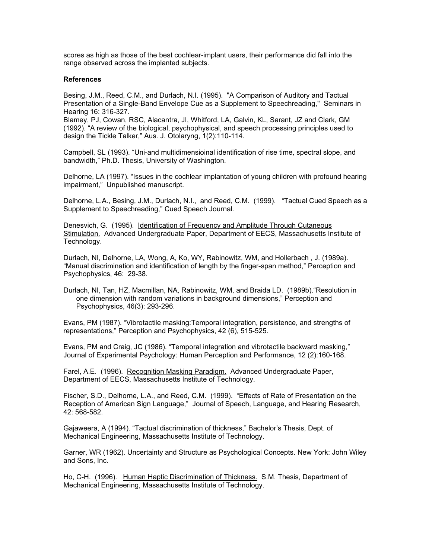scores as high as those of the best cochlear-implant users, their performance did fall into the range observed across the implanted subjects.

### **References**

Besing, J.M., Reed, C.M., and Durlach, N.I. (1995). "A Comparison of Auditory and Tactual Presentation of a Single-Band Envelope Cue as a Supplement to Speechreading," Seminars in Hearing 16: 316-327.

Blamey, PJ, Cowan, RSC, Alacantra, JI, Whitford, LA, Galvin, KL, Sarant, JZ and Clark, GM (1992). "A review of the biological, psychophysical, and speech processing principles used to design the Tickle Talker," Aus. J. Otolaryng, 1(2):110-114.

Campbell, SL (1993). "Uni-and multidimensioinal identification of rise time, spectral slope, and bandwidth," Ph.D. Thesis, University of Washington.

Delhorne, LA (1997). "Issues in the cochlear implantation of young children with profound hearing impairment," Unpublished manuscript.

Delhorne, L.A., Besing, J.M., Durlach, N.I., and Reed, C.M. (1999). "Tactual Cued Speech as a Supplement to Speechreading," Cued Speech Journal.

Denesvich, G. (1995). Identification of Frequency and Amplitude Through Cutaneous Stimulation. Advanced Undergraduate Paper, Department of EECS, Massachusetts Institute of Technology.

Durlach, NI, Delhorne, LA, Wong, A, Ko, WY, Rabinowitz, WM, and Hollerbach , J. (1989a). "Manual discrimination and identification of length by the finger-span method," Perception and Psychophysics, 46: 29-38.

Durlach, NI, Tan, HZ, Macmillan, NA, Rabinowitz, WM, and Braida LD. (1989b)."Resolution in one dimension with random variations in background dimensions," Perception and Psychophysics, 46(3): 293-296.

Evans, PM (1987). "Vibrotactile masking:Temporal integration, persistence, and strengths of representations," Perception and Psychophysics, 42 (6), 515-525.

Evans, PM and Craig, JC (1986). "Temporal integration and vibrotactile backward masking," Journal of Experimental Psychology: Human Perception and Performance, 12 (2):160-168.

Farel, A.E. (1996). Recognition Masking Paradigm. Advanced Undergraduate Paper, Department of EECS, Massachusetts Institute of Technology.

Fischer, S.D., Delhorne, L.A., and Reed, C.M. (1999). "Effects of Rate of Presentation on the Reception of American Sign Language," Journal of Speech, Language, and Hearing Research, 42: 568-582.

Gajaweera, A (1994). "Tactual discrimination of thickness," Bachelor's Thesis, Dept. of Mechanical Engineering, Massachusetts Institute of Technology.

Garner, WR (1962). Uncertainty and Structure as Psychological Concepts. New York: John Wiley and Sons, Inc.

Ho, C-H. (1996). Human Haptic Discrimination of Thickness. S.M. Thesis, Department of Mechanical Engineering, Massachusetts Institute of Technology.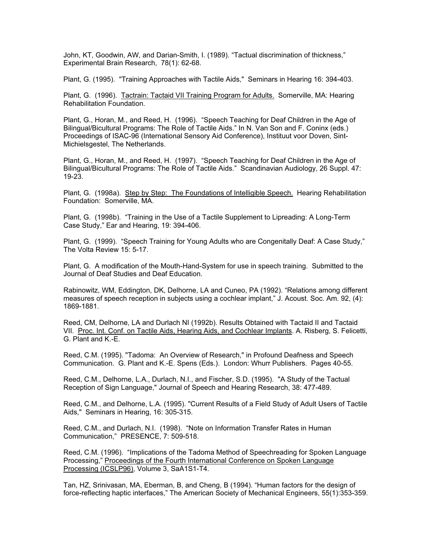John, KT, Goodwin, AW, and Darian-Smith, I. (1989). "Tactual discrimination of thickness," Experimental Brain Research, 78(1): 62-68.

Plant, G. (1995). "Training Approaches with Tactile Aids," Seminars in Hearing 16: 394-403.

Plant, G. (1996). Tactrain: Tactaid VII Training Program for Adults. Somerville, MA: Hearing Rehabilitation Foundation.

Plant, G., Horan, M., and Reed, H. (1996). "Speech Teaching for Deaf Children in the Age of Bilingual/Bicultural Programs: The Role of Tactile Aids." In N. Van Son and F. Coninx (eds.) Proceedings of ISAC-96 (International Sensory Aid Conference), Instituut voor Doven, Sint-Michielsgestel, The Netherlands.

Plant, G., Horan, M., and Reed, H. (1997). "Speech Teaching for Deaf Children in the Age of Bilingual/Bicultural Programs: The Role of Tactile Aids." Scandinavian Audiology, 26 Suppl. 47: 19-23.

Plant, G. (1998a). Step by Step: The Foundations of Intelligible Speech. Hearing Rehabilitation Foundation: Somerville, MA.

Plant, G. (1998b). "Training in the Use of a Tactile Supplement to Lipreading: A Long-Term Case Study," Ear and Hearing, 19: 394-406.

Plant, G. (1999). "Speech Training for Young Adults who are Congenitally Deaf: A Case Study," The Volta Review 15: 5-17.

Plant, G. A modification of the Mouth-Hand-System for use in speech training. Submitted to the Journal of Deaf Studies and Deaf Education.

Rabinowitz, WM, Eddington, DK, Delhorne, LA and Cuneo, PA (1992). "Relations among different measures of speech reception in subjects using a cochlear implant," J. Acoust. Soc. Am. 92, (4): 1869-1881.

Reed, CM, Delhorne, LA and Durlach NI (1992b). Results Obtained with Tactaid II and Tactaid VII. Proc. Int. Conf. on Tactile Aids, Hearing Aids, and Cochlear Implants. A. Risberg, S. Felicetti, G. Plant and K.-E.

Reed, C.M. (1995). "Tadoma: An Overview of Research," in Profound Deafness and Speech Communication. G. Plant and K.-E. Spens (Eds.). London: Whurr Publishers. Pages 40-55.

Reed, C.M., Delhorne, L.A., Durlach, N.I., and Fischer, S.D. (1995). "A Study of the Tactual Reception of Sign Language," Journal of Speech and Hearing Research, 38: 477-489.

Reed, C.M., and Delhorne, L.A. (1995). "Current Results of a Field Study of Adult Users of Tactile Aids," Seminars in Hearing, 16: 305-315.

Reed, C.M., and Durlach, N.I. (1998). "Note on Information Transfer Rates in Human Communication," PRESENCE, 7: 509-518.

Reed, C.M. (1996). "Implications of the Tadoma Method of Speechreading for Spoken Language Processing," Proceedings of the Fourth International Conference on Spoken Language Processing (ICSLP96), Volume 3, SaA1S1-T4.

Tan, HZ, Srinivasan, MA, Eberman, B, and Cheng, B (1994). "Human factors for the design of force-reflecting haptic interfaces," The American Society of Mechanical Engineers, 55(1):353-359.